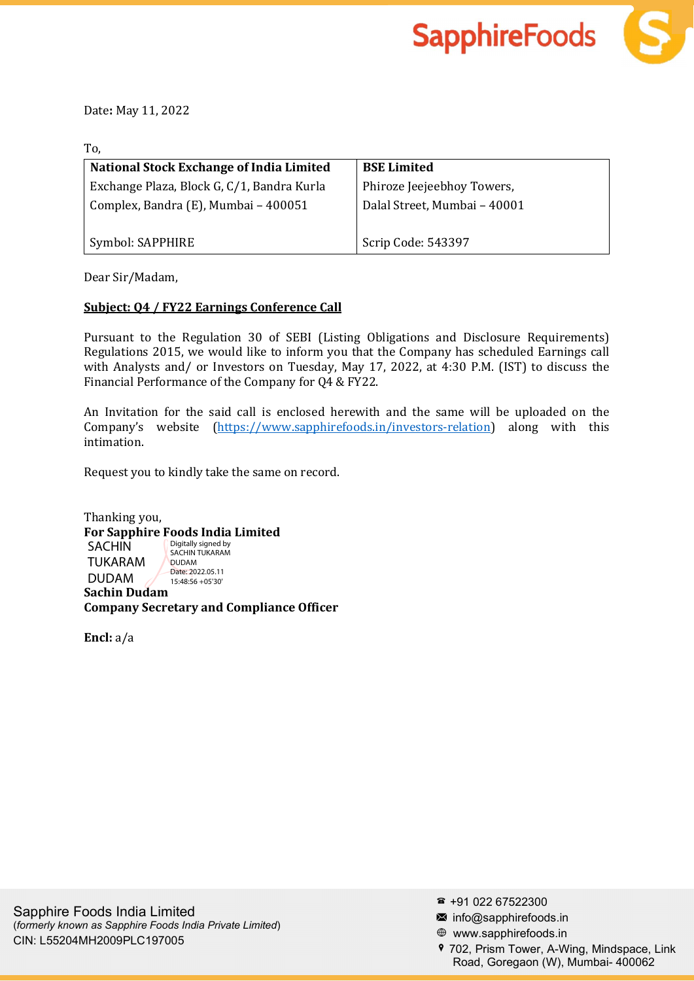



Date: May 11, 2022

To,

| National Stock Exchange of India Limited   | <b>BSE Limited</b>           |
|--------------------------------------------|------------------------------|
| Exchange Plaza, Block G, C/1, Bandra Kurla | Phiroze Jeejeebhoy Towers,   |
| Complex, Bandra (E), Mumbai - 400051       | Dalal Street, Mumbai - 40001 |
|                                            |                              |
| Symbol: SAPPHIRE                           | Scrip Code: 543397           |

Dear Sir/Madam,

## Subject: Q4 / FY22 Earnings Conference Call

Pursuant to the Regulation 30 of SEBI (Listing Obligations and Disclosure Requirements) Regulations 2015, we would like to inform you that the Company has scheduled Earnings call with Analysts and/ or Investors on Tuesday, May 17, 2022, at 4:30 P.M. (IST) to discuss the Financial Performance of the Company for Q4 & FY22.

An Invitation for the said call is enclosed herewith and the same will be uploaded on the Company's website (https://www.sapphirefoods.in/investors-relation) along with this intimation.

Request you to kindly take the same on record.

Thanking you, For Sapphire Foods India Limited Sachin Dudam Company Secretary and Compliance Officer SACHIN TUKARAM DUDAM Digitally signed by SACHIN TUKARAM DUDAM Date: 2022.05.11 15:48:56 +05'30'

Encl: a/a

- info@sapphirefoods.in
- www.sapphirefoods.in
- 702, Prism Tower, A-Wing, Mindspace, Link Road, Goregaon (W), Mumbai- 400062